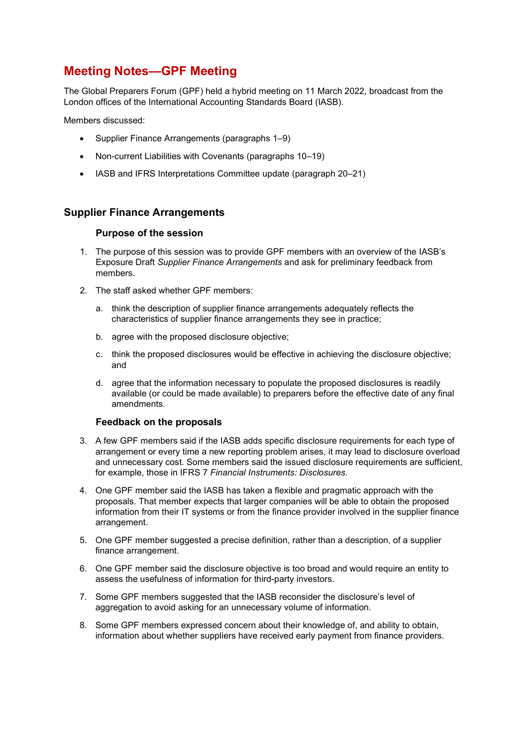# Meeting Notes—GPF Meeting

The Global Preparers Forum (GPF) held a hybrid meeting on 11 March 2022, broadcast from the London offices of the International Accounting Standards Board (IASB).

Members discussed:

- Supplier Finance Arrangements (paragraphs 1–9)
- Non-current Liabilities with Covenants (paragraphs 10–19)
- IASB and IFRS Interpretations Committee update (paragraph 20–21)

# Supplier Finance Arrangements

## Purpose of the session

- 1. The purpose of this session was to provide GPF members with an overview of the IASB's Exposure Draft Supplier Finance Arrangements and ask for preliminary feedback from members.
- 2. The staff asked whether GPF members:
	- a. think the description of supplier finance arrangements adequately reflects the characteristics of supplier finance arrangements they see in practice;
	- b. agree with the proposed disclosure objective;
	- c. think the proposed disclosures would be effective in achieving the disclosure objective; and
	- d. agree that the information necessary to populate the proposed disclosures is readily available (or could be made available) to preparers before the effective date of any final amendments.

## Feedback on the proposals

- 3. A few GPF members said if the IASB adds specific disclosure requirements for each type of arrangement or every time a new reporting problem arises, it may lead to disclosure overload and unnecessary cost. Some members said the issued disclosure requirements are sufficient, for example, those in IFRS 7 Financial Instruments: Disclosures.
- 4. One GPF member said the IASB has taken a flexible and pragmatic approach with the proposals. That member expects that larger companies will be able to obtain the proposed information from their IT systems or from the finance provider involved in the supplier finance arrangement.
- 5. One GPF member suggested a precise definition, rather than a description, of a supplier finance arrangement.
- 6. One GPF member said the disclosure objective is too broad and would require an entity to assess the usefulness of information for third-party investors.
- 7. Some GPF members suggested that the IASB reconsider the disclosure's level of aggregation to avoid asking for an unnecessary volume of information.
- 8. Some GPF members expressed concern about their knowledge of, and ability to obtain, information about whether suppliers have received early payment from finance providers.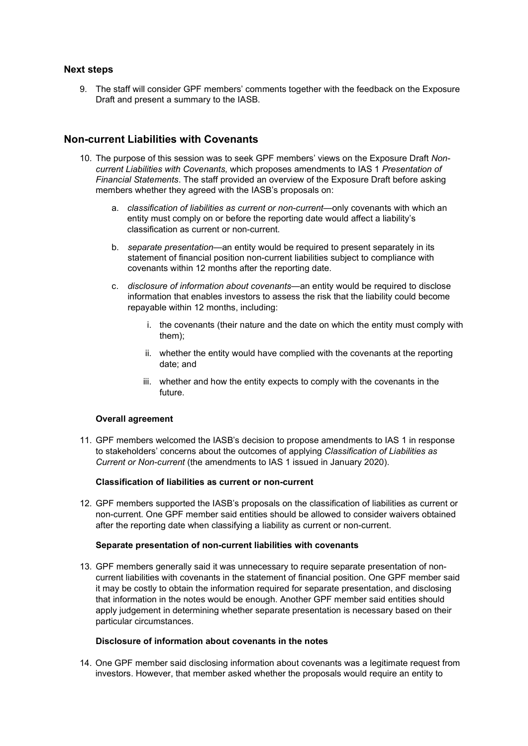## Next steps

9. The staff will consider GPF members' comments together with the feedback on the Exposure Draft and present a summary to the IASB.

# Non-current Liabilities with Covenants

- 10. The purpose of this session was to seek GPF members' views on the Exposure Draft Noncurrent Liabilities with Covenants, which proposes amendments to IAS 1 Presentation of Financial Statements. The staff provided an overview of the Exposure Draft before asking members whether they agreed with the IASB's proposals on:
	- a. classification of liabilities as current or non-current—only covenants with which an entity must comply on or before the reporting date would affect a liability's classification as current or non-current.
	- b. separate presentation—an entity would be required to present separately in its statement of financial position non-current liabilities subject to compliance with covenants within 12 months after the reporting date.
	- c. disclosure of information about covenants—an entity would be required to disclose information that enables investors to assess the risk that the liability could become repayable within 12 months, including:
		- i. the covenants (their nature and the date on which the entity must comply with them);
		- ii. whether the entity would have complied with the covenants at the reporting date; and
		- iii. whether and how the entity expects to comply with the covenants in the future.

## Overall agreement

11. GPF members welcomed the IASB's decision to propose amendments to IAS 1 in response to stakeholders' concerns about the outcomes of applying Classification of Liabilities as Current or Non-current (the amendments to IAS 1 issued in January 2020).

#### Classification of liabilities as current or non-current

12. GPF members supported the IASB's proposals on the classification of liabilities as current or non-current. One GPF member said entities should be allowed to consider waivers obtained after the reporting date when classifying a liability as current or non-current.

#### Separate presentation of non-current liabilities with covenants

13. GPF members generally said it was unnecessary to require separate presentation of noncurrent liabilities with covenants in the statement of financial position. One GPF member said it may be costly to obtain the information required for separate presentation, and disclosing that information in the notes would be enough. Another GPF member said entities should apply judgement in determining whether separate presentation is necessary based on their particular circumstances.

#### Disclosure of information about covenants in the notes

14. One GPF member said disclosing information about covenants was a legitimate request from investors. However, that member asked whether the proposals would require an entity to